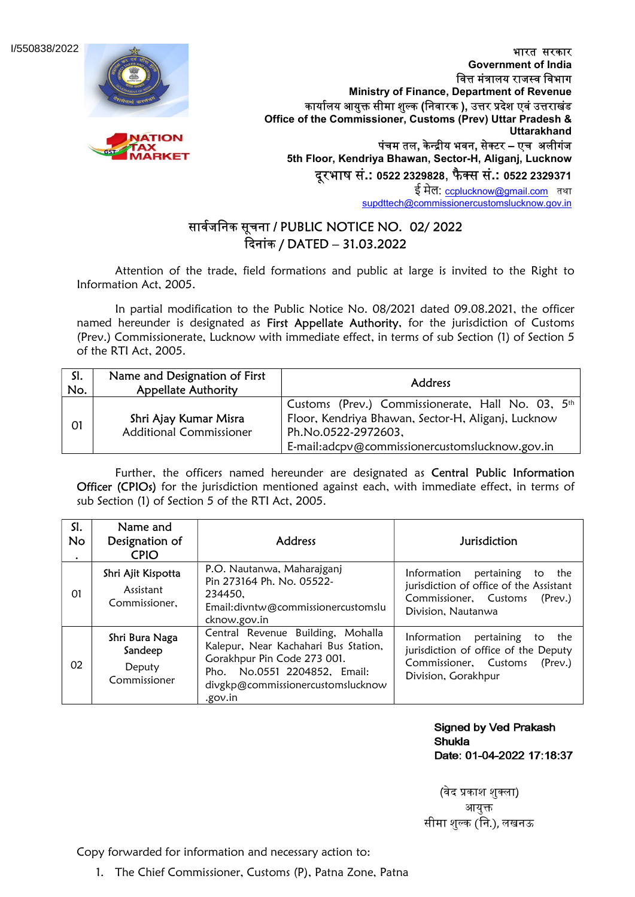I/550838/2022





भारत सरकार Government of India वित्त मंत्रालय राजस्व विभाग Ministry of Finance, Department of Revenue कार्यालय आयुक्त सीमा शुल्क (निवारक ), उत्तर प्रदेश एवं उत्तराखंड Office of the Commissioner, Customs (Prev) Uttar Pradesh & **Uttarakhand** पंचम तल, केन्द्रीय भवन, सेक्टर – एच अलीगंज 5th Floor, Kendriya Bhawan, Sector-H, Aliganj, Lucknow दरभाष सं.: 0522 2329828, फैक्स सं.: 0522 2329371

ई मेल: ccplucknow@gmail.com तथा supdttech@commissionercustomslucknow.gov.in

## सार्वजनिक सूचना / PUBLIC NOTICE NO. 02/ 2022 ᳰदनाकं / DATED – 31.03.2022

 Attention of the trade, field formations and public at large is invited to the Right to Information Act, 2005.

 In partial modification to the Public Notice No. 08/2021 dated 09.08.2021, the officer named hereunder is designated as First Appellate Authority, for the jurisdiction of Customs (Prev.) Commissionerate, Lucknow with immediate effect, in terms of sub Section (1) of Section 5 of the RTI Act, 2005.

| SI.<br>No. | Name and Designation of First<br><b>Appellate Authority</b> | Address                                                                                                                                                                          |  |
|------------|-------------------------------------------------------------|----------------------------------------------------------------------------------------------------------------------------------------------------------------------------------|--|
| 01         | Shri Ajay Kumar Misra<br><b>Additional Commissioner</b>     | Customs (Prev.) Commissionerate, Hall No. 03, 5th<br>Floor, Kendriya Bhawan, Sector-H, Aliganj, Lucknow<br>Ph.No.0522-2972603,<br>E-mail:adcpv@commissionercustomslucknow.gov.in |  |

Further, the officers named hereunder are designated as Central Public Information Officer (CPIOs) for the jurisdiction mentioned against each, with immediate effect, in terms of sub Section (1) of Section 5 of the RTI Act, 2005.

| SI.<br><b>No</b><br>٠ | Name and<br>Designation of<br><b>CPIO</b>           | <b>Address</b>                                                                                                                                                                           | <b>Jurisdiction</b>                                                                                                                             |
|-----------------------|-----------------------------------------------------|------------------------------------------------------------------------------------------------------------------------------------------------------------------------------------------|-------------------------------------------------------------------------------------------------------------------------------------------------|
| 01                    | Shri Ajit Kispotta<br>Assistant<br>Commissioner.    | P.O. Nautanwa, Maharajganj<br>Pin 273164 Ph. No. 05522-<br>234450.<br>Email: divntw@commissionercustomslu<br>cknow.gov.in                                                                | Information pertaining<br>the<br>to<br>jurisdiction of office of the Assistant<br>Commissioner, Customs<br>$($ Prev. $)$<br>Division, Nautanwa  |
| 02                    | Shri Bura Naga<br>Sandeep<br>Deputy<br>Commissioner | Central Revenue Building, Mohalla<br>Kalepur, Near Kachahari Bus Station,<br>Gorakhpur Pin Code 273 001.<br>Pho. No.0551 2204852, Email:<br>divgkp@commissionercustomslucknow<br>.gov.in | Information<br>pertaining<br>the<br>to<br>jurisdiction of office of the Deputy<br>Commissioner, Customs<br>$($ Prev. $)$<br>Division, Gorakhpur |

**Signed by Ved Prakash Shukla** Date: 01-04-2022 17:18:37

(वेद प्रकाश शुक्ला) आयुक्त सीमा शु᭨क (िन.), लखनऊ

Copy forwarded for information and necessary action to:

1. The Chief Commissioner, Customs (P), Patna Zone, Patna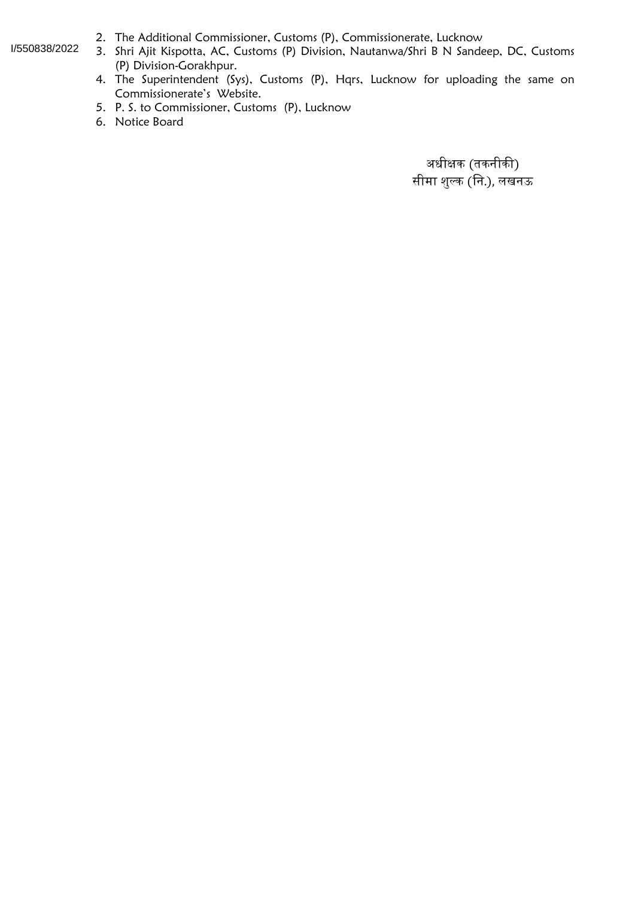## I/550838/2022

- 2. The Additional Commissioner, Customs (P), Commissionerate, Lucknow
- 3. Shri Ajit Kispotta, AC, Customs (P) Division, Nautanwa/Shri B N Sandeep, DC, Customs (P) Division-Gorakhpur.
- 4. The Superintendent (Sys), Customs (P), Hqrs, Lucknow for uploading the same on Commissionerate's Website.
- 5. P. S. to Commissioner, Customs (P), Lucknow
- 6. Notice Board

अधीक्षक (तकनीकी) सीमा शु᭨क (िन.), लखनऊ